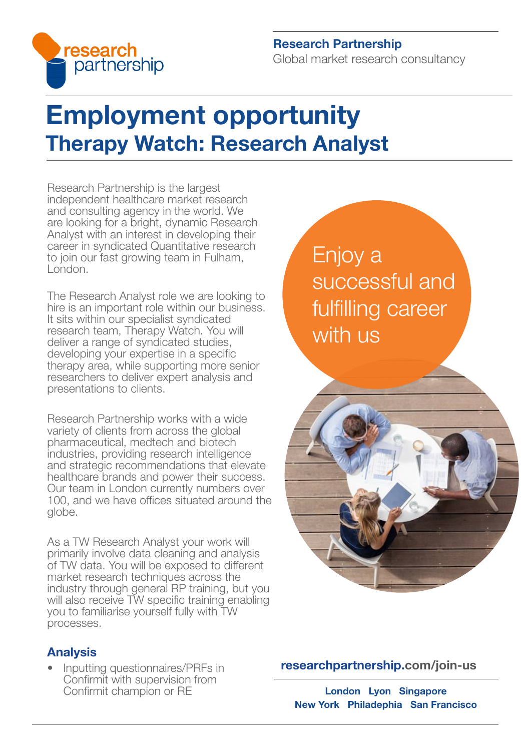

#### Research Partnership Global market research consultancy

## Employment opportunity Therapy Watch: Research Analyst

Research Partnership is the largest independent healthcare market research and consulting agency in the world. We are looking for a bright, dynamic Research Analyst with an interest in developing their career in syndicated Quantitative research to join our fast growing team in Fulham, London.

The Research Analyst role we are looking to hire is an important role within our business. It sits within our specialist syndicated research team, Therapy Watch. You will deliver a range of syndicated studies, developing your expertise in a specific therapy area, while supporting more senior researchers to deliver expert analysis and presentations to clients.

Research Partnership works with a wide variety of clients from across the global pharmaceutical, medtech and biotech industries, providing research intelligence and strategic recommendations that elevate healthcare brands and power their success. Our team in London currently numbers over 100, and we have offices situated around the globe.

As a TW Research Analyst your work will primarily involve data cleaning and analysis of TW data. You will be exposed to different market research techniques across the industry through general RP training, but you will also receive TW specific training enabling you to familiarise yourself fully with TW processes.

### Analysis

• Inputting questionnaires/PRFs in Confirmit with supervision from Confirmit champion or RE

Enjoy a successful and fulfilling career with us



[researchpartnership.com/join-us](https://www.researchpartnership.com/join-us)

London Lyon Singapore New York Philadephia San Francisco